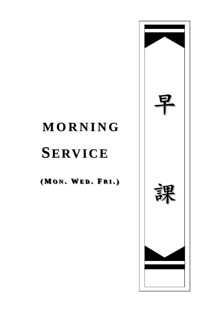# **MORNING**

# **SERVICE**

(MON. WED. FRI.)

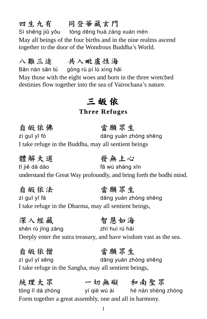## 四生九有 同登華藏玄門

Sì shēng jiǔ yǒu tóng dēng huá zàng xuán mén May all beings of the four births and in the nine realms ascend together to the door of the Wondrous Buddha's World.

### 八難三途 共入毗盧性海

Bān nàn sān tú gòng rù pí lú xìng hǎi May those with the eight woes and born in the three wretched destinies flow together into the sea of Vairochana's nature.

## 三 皈 依

#### **Three Refuges**

自皈依佛 當願眾生 zì guī yī fó dāng yuàn zhòng shēng I take refuge in the Buddha, may all sentient beings

體解大道 發無上心 tĭ jiě dà dào fā wú shàng xīn understand the Great Way profoundly, and bring forth the bodhi mind.

#### 自皈依法 當願眾生 zì guī yī fă dāng yuàn zhòng shēng I take refuge in the Dharma, may all sentient beings,

深入經藏 智慧如海 shēn rù jīng zàng zhì huì rú hăi Deeply enter the sutra treasury, and have wisdom vast as the sea.

自皈依僧 當願眾生 zì guī yī sēng dāng yuàn zhòng shēng I take refuge in the Sangha, may all sentient beings,

統理大眾 一切無礙 和南聖眾 tŏng lĭ dà zhòng yí qiè wú ài hé nán shèng zhòng Form together a great assembly, one and all in harmony.

1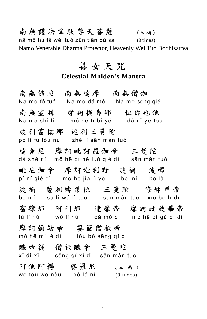南無護法韋馱尊天菩薩 (三稱) nā mō hù fă wéi tuó zūn tiān pú sà (3 times) Namo Venerable Dharma Protector, Heavenly Wei Tuo Bodhisattva

### 善女天咒

#### **Celestial Maiden's Mantra**

南無佛陀 南無達摩 南無僧伽 Nā mō fó tuó Nā mō dá mó Nā mō sēng qié 南無室利 摩訶提鼻耶 怛你也他 Nā mō shì lì mó hē tí bí yĕ dá nĭ yĕ toū 波利富樓那 遮利三曼陀 pó lì fù lóu nú zhē lì sān màn tuó 達会尼 摩訶毗訶羅伽帝 三曼陀 dá shĕ ní mō hē pí hē luó qié dì sān màn tuó 毗尼伽帝 摩訶迦利野 波禰 波囉 pí ní qié dì mō hē jiā lì yĕ bō mí bō là 波禰 薩利縛栗他 三曼陀 修缽犁帝 bō mí sā lì wá lì toū sān màn tuó xīu bō lí dì 富隸那 阿利那 達摩帝 摩訶毗鼓畢帝 fù lì nú wō lì nú dá mó dì mó hē pí gǔ bì dì 摩 訶 彌 勒 帝 事 簸 僧 祇 帝 mō hē mí lè dì lóu bǒ sēng qí dì 醯 帝 簁 僧 祗 醯 帝 三 曼 陀 xī dì xī sēng qí xī dì sān màn tuó 阿 他 阿 耨 婆 羅 尼 ( 三 遍 ) wō toū wō nòu pó ló ní (3 times)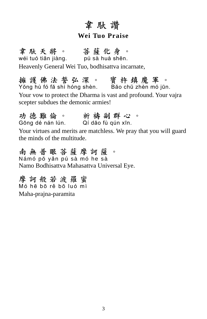## 韋馱讚

#### **Wei Tuo Praise**

韋 馱 天 將 。 菩 薩 化 身 。 wéi tuó tiān jiàng. pú sà huà shēn. Heavenly General Wei Tuo, bodhisattva incarnate,

擁 護 佛 法 誓 弘 深 。 寳 杵 缜 魔 軍 。 Yŏng hù fó fă shì hóng shèn. Băo chŭ zhèn mó jūn.

Your vow to protect the Dharma is vast and profound. Your vajra scepter subdues the demonic armies!

功 德 難 倫 。 所 禱 副 群 心 。 Gōng dé nán lún. Qí dăo fù qún xīn.

Your virtues and merits are matchless. We pray that you will guard the minds of the multitude.

南 無 普 眼 菩 薩 摩 訶 薩 。 Ná mó pŏ yǎn pú sà mó he sà Namo Bodhisattva Mahasattva Universal Eye.

摩 訶 般 若 波 羅 蜜 Mó hē bō rě bō luó mì Maha-prajna-paramita